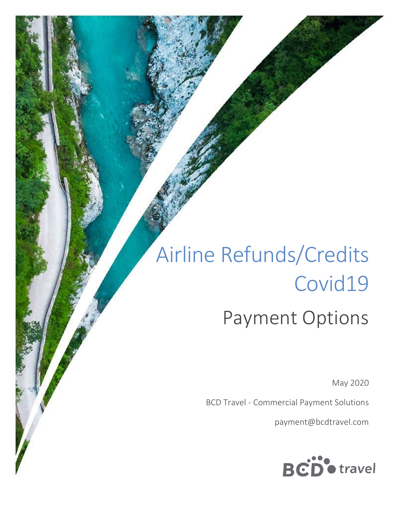# Airline Refunds/Credits Covid19 Payment Options

May 2020

BCD Travel - Commercial Payment Solutions

payment@bcdtravel.com

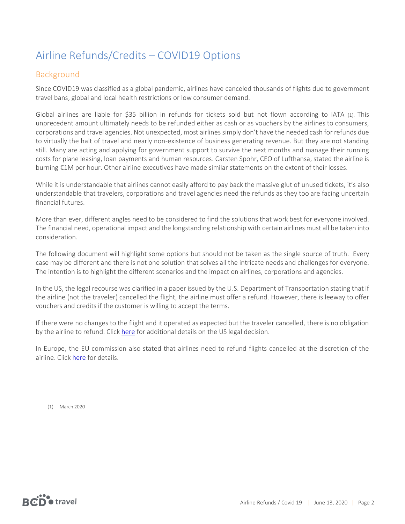# Airline Refunds/Credits – COVID19 Options

## Background

Since COVID19 was classified as a global pandemic, airlines have canceled thousands of flights due to government travel bans, global and local health restrictions or low consumer demand.

Global airlines are liable for \$35 billion in refunds for tickets sold but not flown according to IATA (1). This unprecedent amount ultimately needs to be refunded either as cash or as vouchers by the airlines to consumers, corporations and travel agencies. Not unexpected, most airlines simply don't have the needed cash for refunds due to virtually the halt of travel and nearly non-existence of business generating revenue. But they are not standing still. Many are acting and applying for government support to survive the next months and manage their running costs for plane leasing, loan payments and human resources. Carsten Spohr, CEO of Lufthansa, stated the airline is burning €1M per hour. Other airline executives have made similar statements on the extent of their losses.

While it is understandable that airlines cannot easily afford to pay back the massive glut of unused tickets, it's also understandable that travelers, corporations and travel agencies need the refunds as they too are facing uncertain financial futures.

More than ever, different angles need to be considered to find the solutions that work best for everyone involved. The financial need, operational impact and the longstanding relationship with certain airlines must all be taken into consideration.

The following document will highlight some options but should not be taken as the single source of truth. Every case may be different and there is not one solution that solves all the intricate needs and challenges for everyone. The intention is to highlight the different scenarios and the impact on airlines, corporations and agencies.

In the US, the legal recourse was clarified in a paper issued by the U.S. Department of Transportation stating that if the airline (not the traveler) cancelled the flight, the airline must offer a refund. However, there is leeway to offer vouchers and credits if the customer is willing to accept the terms.

If there were no changes to the flight and it operated as expected but the traveler cancelled, there is no obligation by the airline to refund. Clic[k here](https://www.transportation.gov/sites/dot.gov/files/2020-05/Refunds-%20Second%20Enforcement%20Notice%20FINAL%20%28May%2012%202020%29.pdf) for additional details on the US legal decision.

In Europe, the EU commission also stated that airlines need to refund flights cancelled at the discretion of the airline. Clic[k here](https://ec.europa.eu/commission/presscorner/detail/en/IP_20_485) for details.

(1) March 2020

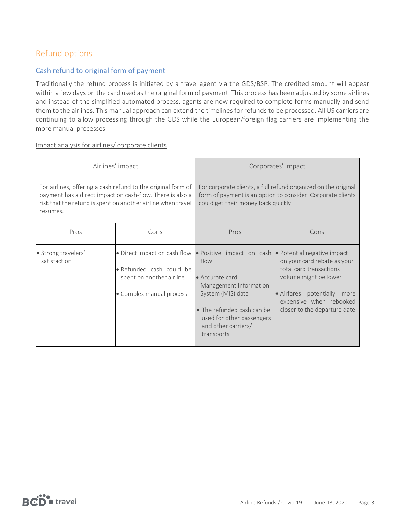# Refund options

#### Cash refund to original form of payment

Traditionally the refund process is initiated by a travel agent via the GDS/BSP. The credited amount will appear within a few days on the card used as the original form of payment. This process has been adjusted by some airlines and instead of the simplified automated process, agents are now required to complete forms manually and send them to the airlines. This manual approach can extend the timelines for refunds to be processed. All US carriers are continuing to allow processing through the GDS while the European/foreign flag carriers are implementing the more manual processes.

| Airlines' impact                                                                                                                                                                                      |                                                                                                                  | Corporates' impact                                                                                                                                                                                                              |                                                                                                                                                                              |
|-------------------------------------------------------------------------------------------------------------------------------------------------------------------------------------------------------|------------------------------------------------------------------------------------------------------------------|---------------------------------------------------------------------------------------------------------------------------------------------------------------------------------------------------------------------------------|------------------------------------------------------------------------------------------------------------------------------------------------------------------------------|
| For airlines, offering a cash refund to the original form of<br>payment has a direct impact on cash-flow. There is also a<br>risk that the refund is spent on another airline when travel<br>resumes. |                                                                                                                  | For corporate clients, a full refund organized on the original<br>form of payment is an option to consider. Corporate clients<br>could get their money back quickly.                                                            |                                                                                                                                                                              |
| Pros                                                                                                                                                                                                  | Cons                                                                                                             | Pros                                                                                                                                                                                                                            | Cons                                                                                                                                                                         |
| • Strong travelers'<br>satisfaction                                                                                                                                                                   | • Direct impact on cash flow<br>• Refunded cash could be<br>spent on another airline<br>• Complex manual process | • Positive impact on cash • Potential negative impact<br>flow<br>• Accurate card<br>Management Information<br>System (MIS) data<br>• The refunded cash can be<br>used for other passengers<br>and other carriers/<br>transports | on your card rebate as your<br>total card transactions<br>volume might be lower<br>• Airfares potentially<br>more<br>expensive when rebooked<br>closer to the departure date |

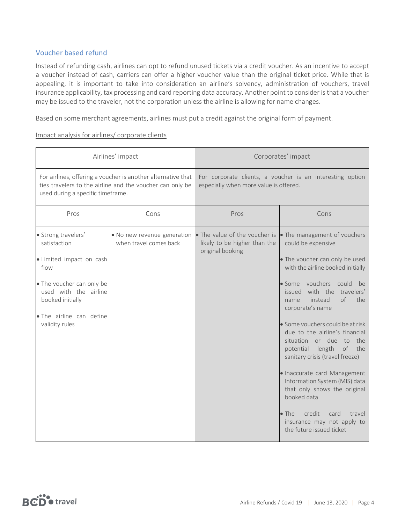#### Voucher based refund

Instead of refunding cash, airlines can opt to refund unused tickets via a credit voucher. As an incentive to accept a voucher instead of cash, carriers can offer a higher voucher value than the original ticket price. While that is appealing, it is important to take into consideration an airline's solvency, administration of vouchers, travel insurance applicability, tax processing and card reporting data accuracy. Another point to consider is that a voucher may be issued to the traveler, not the corporation unless the airline is allowing for name changes.

Based on some merchant agreements, airlines must put a credit against the original form of payment.

| Airlines' impact                                                                                                                                                                                |                                                       | Corporates' impact                                                                                  |                                                                                                                                                                                                                                                                                                                                                                                                                                                                                                                                                                                                                                                           |
|-------------------------------------------------------------------------------------------------------------------------------------------------------------------------------------------------|-------------------------------------------------------|-----------------------------------------------------------------------------------------------------|-----------------------------------------------------------------------------------------------------------------------------------------------------------------------------------------------------------------------------------------------------------------------------------------------------------------------------------------------------------------------------------------------------------------------------------------------------------------------------------------------------------------------------------------------------------------------------------------------------------------------------------------------------------|
| For airlines, offering a voucher is another alternative that<br>ties travelers to the airline and the voucher can only be<br>used during a specific timeframe.                                  |                                                       | For corporate clients, a voucher is an interesting option<br>especially when more value is offered. |                                                                                                                                                                                                                                                                                                                                                                                                                                                                                                                                                                                                                                                           |
| Pros                                                                                                                                                                                            | Cons                                                  | Pros                                                                                                | Cons                                                                                                                                                                                                                                                                                                                                                                                                                                                                                                                                                                                                                                                      |
| · Strong travelers'<br>satisfaction<br>· Limited impact on cash<br>flow<br>• The voucher can only be<br>used with the airline<br>booked initially<br>. The airline can define<br>validity rules | . No new revenue generation<br>when travel comes back | • The value of the voucher is<br>likely to be higher than the<br>original booking                   | • The management of vouchers<br>could be expensive<br>• The voucher can only be used<br>with the airline booked initially<br>· Some vouchers could<br>be<br>with the<br>issued<br>travelers'<br>instead<br>$\circ$ f<br>the<br>name<br>corporate's name<br>• Some vouchers could be at risk<br>due to the airline's financial<br>the<br>situation or due<br>to<br>potential length<br>of<br>the<br>sanitary crisis (travel freeze)<br>· Inaccurate card Management<br>Information System (MIS) data<br>that only shows the original<br>booked data<br>credit<br>$\bullet$ The<br>card<br>travel<br>insurance may not apply to<br>the future issued ticket |

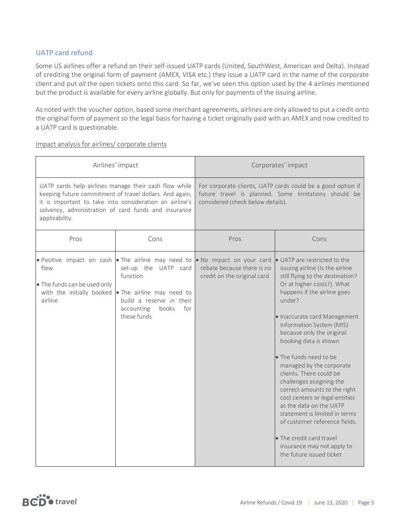#### UATP card refund

Some US airlines offer a refund on their self-issued UATP cards (United, SouthWest, American and Delta). Instead of crediting the original form of payment (AMEX, VISA etc.) they issue a UATP card in the name of the corporate client and put *all* the open tickets onto this card. So far, we've seen this option used by the 4 airlines mentioned but the product is available for every airline globally. But only for payments of the issuing airline.

As noted with the voucher option, based some merchant agreements, airlines are only allowed to put a credit onto the original form of payment so the legal basis for having a ticket originally paid with an AMEX and now credited to a UATP card is questionable.

| Airlines' impact                                                                                                                                                                                                                                      |                                                                                                                                        | Corporates' impact                                                                                                                                       |                                                                                                                                                                                                                                                                                                                                                                                                                                                                                                                                                                                                                                                                |
|-------------------------------------------------------------------------------------------------------------------------------------------------------------------------------------------------------------------------------------------------------|----------------------------------------------------------------------------------------------------------------------------------------|----------------------------------------------------------------------------------------------------------------------------------------------------------|----------------------------------------------------------------------------------------------------------------------------------------------------------------------------------------------------------------------------------------------------------------------------------------------------------------------------------------------------------------------------------------------------------------------------------------------------------------------------------------------------------------------------------------------------------------------------------------------------------------------------------------------------------------|
| UATP cards help airlines manage their cash flow while<br>keeping future commitment of travel dollars. And again,<br>it is important to take into consideration an airline's<br>solvency, administration of card funds and insurance<br>applicability. |                                                                                                                                        | For corporate clients, UATP cards could be a good option if<br>future travel is planned. Some limitations should be<br>considered (check below details). |                                                                                                                                                                                                                                                                                                                                                                                                                                                                                                                                                                                                                                                                |
| Pros                                                                                                                                                                                                                                                  | Cons                                                                                                                                   | Pros                                                                                                                                                     | Cons                                                                                                                                                                                                                                                                                                                                                                                                                                                                                                                                                                                                                                                           |
| . Positive impact on cash . The airline may need to<br>flow<br>• The funds can be used only<br>with the initially booked<br>airline                                                                                                                   | set-up the UATP card<br>function<br>. The airline may need to<br>build a reserve in their<br>for<br>accounting<br>books<br>these funds | . No impact on your card<br>rebate because there is no<br>credit on the original card                                                                    | • UATP are restricted to the<br>issuing airline (Is the airline<br>still flying to the destination?<br>Or at higher costs?). What<br>happens if the airline goes<br>under?<br>· Inaccurate card Management<br>Information System (MIS)<br>because only the original<br>booking data is shown<br>• The funds need to be<br>managed by the corporate<br>clients. There could be<br>challenges assigning the<br>correct amounts to the right<br>cost centers or legal entities<br>as the data on the UATP<br>statement is limited in terms<br>of customer reference fields.<br>• The credit card travel<br>insurance may not apply to<br>the future issued ticket |

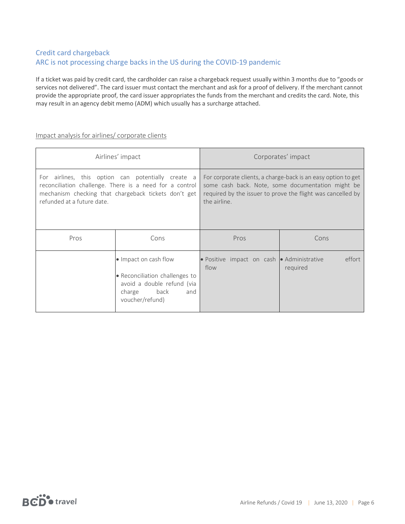### Credit card chargeback ARC is not processing charge backs in the US during the COVID-19 pandemic

If a ticket was paid by credit card, the cardholder can raise a chargeback request usually within 3 months due to "goods or services not delivered". The card issuer must contact the merchant and ask for a proof of delivery. If the merchant cannot provide the appropriate proof, the card issuer appropriates the funds from the merchant and credits the card. Note, this may result in an agency debit memo (ADM) which usually has a surcharge attached.

| Airlines' impact                                                                                                                                                                                    |                                                                                                                                   | Corporates' impact                                                                                                                                                                                |                    |
|-----------------------------------------------------------------------------------------------------------------------------------------------------------------------------------------------------|-----------------------------------------------------------------------------------------------------------------------------------|---------------------------------------------------------------------------------------------------------------------------------------------------------------------------------------------------|--------------------|
| For airlines, this option can potentially create a<br>reconciliation challenge. There is a need for a control<br>mechanism checking that chargeback tickets don't get<br>refunded at a future date. |                                                                                                                                   | For corporate clients, a charge-back is an easy option to get<br>some cash back. Note, some documentation might be<br>required by the issuer to prove the flight was cancelled by<br>the airline. |                    |
| Pros                                                                                                                                                                                                | Cons                                                                                                                              | Pros                                                                                                                                                                                              | Cons               |
|                                                                                                                                                                                                     | • Impact on cash flow<br>• Reconciliation challenges to<br>avoid a double refund (via<br>back<br>charge<br>and<br>voucher/refund) | • Positive impact on cash • Administrative<br>flow                                                                                                                                                | effort<br>required |